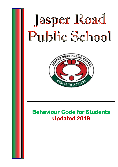# Jasper Road Public School



## **Behaviour Code for Students Updated 2018**

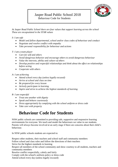## Jasper Road Public School 2018 Behaviour Code for Students



*At Jasper Road Public School there are four values that support learning across the school These are encapsulated in the STAR values*

*S- I am safe*

- *Model and follow departmental, school and/or class codes of behaviour and conduct*
- *Negotiate and resolve conflict with empathy*
- *Take personal responsibility for behaviour and actions*

## *T- I am a team player*

- *Care for self and others*
- *Avoid dangerous behavior and encourage others to avoid dangerous behaviour*
- *Value the interests, ability and culture of others*
- *Develop positive and respectful relationships and think about the effect on relationships before acting*
- *Cooperate with others*

## *A- I am achieving*

- *Attend school every day (unless legally excused)*
- *Arrive at school and class on time*
- *Be prepared for every lesson*
- *Actively participate in learning*
- *Aspire and strive to achieve the highest standards of learning*

#### *R- I am respectful*

- *Treat one another with dignity*
- *Speak and behave courteously*
- *Dress appropriately by complying with the school uniform or dress code*
- *Take care with property*

## **Behaviour Code for Students**

NSW public schools are committed to providing safe, supportive and responsive learning environments for everyone. We teach and model the behaviours we value in our students. Parents will always become involved at an early stage if there are concerns about their child's behaviour.

In NSW public schools students are expected to:

Respect other students, their teachers and school staff and community members

Follow school and class rules and follow the directions of their teachers

Strive for the highest standards in learning

Respect all members of the school community and show courtesy to all students, teachers and community members

Resolve conflict respectfully, calmly and fairly

Comply with the school's uniform policy or dress code

Attend school every day (unless legally excused)